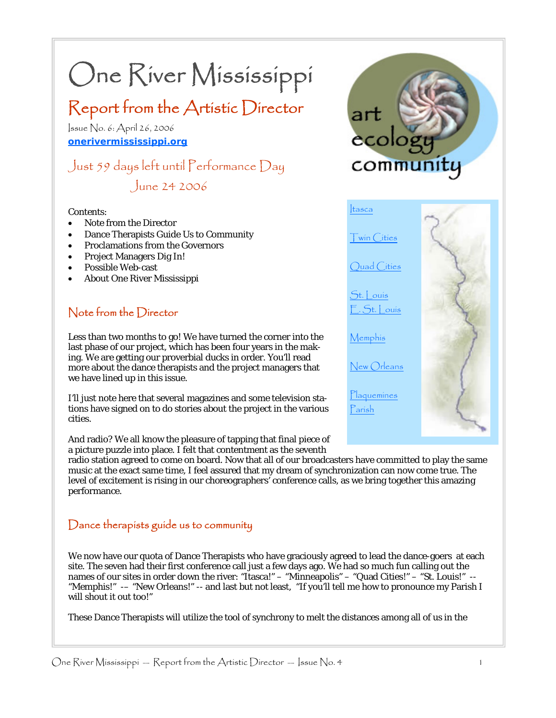# One River Mississippi

# Report from the Artistic Director

Issue No. 6: April 26, 2006 **onerivermississippi.org**

# Just 59 days left until Performance Day June 24 2006

#### Contents:

- Note from the Director
- Dance Therapists Guide Us to Community
- Proclamations from the Governors
- Project Managers Dig In!
- Possible Web-cast
- About One River Mississippi

# Note from the Director

Less than two months to go! We have turned the corner into the last phase of our project, which has been four years in the making. We are getting our proverbial ducks in order. You'll read more about the dance therapists and the project managers that we have lined up in this issue.

I'll just note here that several magazines and some television stations have signed on to do stories about the project in the various cities.

And radio? We all know the pleasure of tapping that final piece of a picture puzzle into place. I felt that contentment as the seventh

radio station agreed to come on board. Now that all of our broadcasters have committed to play the same music at the exact same time, I feel assured that my dream of synchronization can now come true. The level of excitement is rising in our choreographers' conference calls, as we bring together this amazing performance.

### Dance therapists guide us to community

We now have our quota of Dance Therapists who have graciously agreed to lead the dance-goers at each site. The seven had their first conference call just a few days ago. We had so much fun calling out the names of our sites in order down the river: "Itasca!" – "Minneapolis" – "Quad Cities!" – "St. Louis!" --"Memphis!" -– "New Orleans!" -- and last but not least, "If you'll tell me how to pronounce my Parish I will shout it out too!"

These Dance Therapists will utilize the tool of synchrony to melt the distances among all of us in the



Memphis

New Orleans

Plaquemines Parish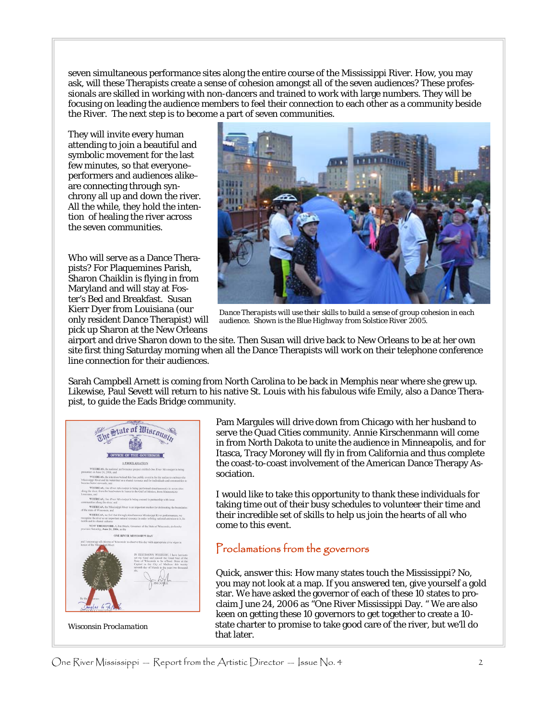seven simultaneous performance sites along the entire course of the Mississippi River. How, you may ask, will these Therapists create a sense of cohesion amongst all of the seven audiences? These professionals are skilled in working with non-dancers and trained to work with large numbers. They will be focusing on leading the audience members to feel their connection to each other as a community beside the River. The next step is to become a part of seven communities.

They will invite every human attending to join a beautiful and symbolic movement for the last few minutes, so that everyone– performers and audiences alike– are connecting through synchrony all up and down the river. All the while, they hold the intention of healing the river across the seven communities.

Who will serve as a Dance Therapists? For Plaquemines Parish, Sharon Chaiklin is flying in from Maryland and will stay at Foster's Bed and Breakfast. Susan Kierr Dyer from Louisiana (our only resident Dance Therapist) will pick up Sharon at the New Orleans



*Dance Therapists will use their skills to build a sense of group cohesion in each audience. Shown is the Blue Highway from Solstice River 2005.* 

airport and drive Sharon down to the site. Then Susan will drive back to New Orleans to be at her own site first thing Saturday morning when all the Dance Therapists will work on their telephone conference line connection for their audiences.

Sarah Campbell Arnett is coming from North Carolina to be back in Memphis near where she grew up. Likewise, Paul Sevett will return to his native St. Louis with his fabulous wife Emily, also a Dance Therapist, to guide the Eads Bridge community.

State of Misconsin OFFICE OF THE GOVERNOR A PROCLAMATION ONE RIVER MISSISSIPPI DAV

*Wisconsin Proclamation* 

Pam Margules will drive down from Chicago with her husband to serve the Quad Cities community. Annie Kirschenmann will come in from North Dakota to unite the audience in Minneapolis, and for Itasca, Tracy Moroney will fly in from California and thus complete the coast-to-coast involvement of the American Dance Therapy Association.

I would like to take this opportunity to thank these individuals for taking time out of their busy schedules to volunteer their time and their incredible set of skills to help us join the hearts of all who come to this event.

#### Proclamations from the governors

Quick, answer this: How many states touch the Mississippi? No, you may not look at a map. If you answered ten, give yourself a gold star. We have asked the governor of each of these 10 states to proclaim June 24, 2006 as "One River Mississippi Day. " We are also keen on getting these 10 governors to get together to create a 10 state charter to promise to take good care of the river, but we'll do that later.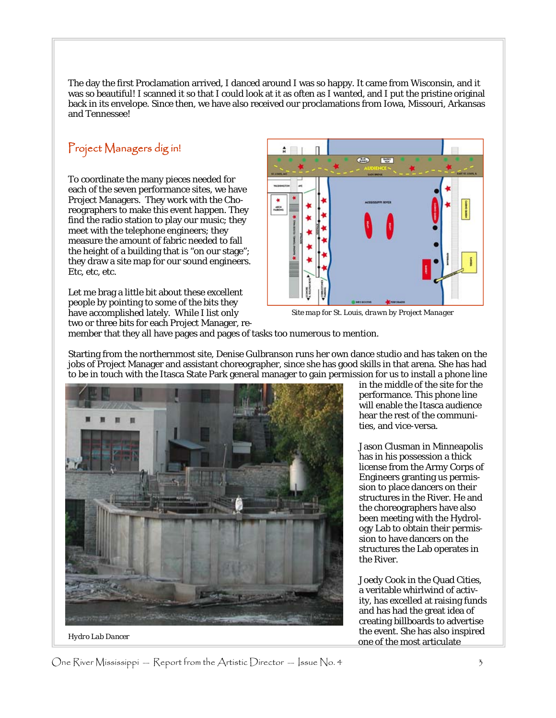The day the first Proclamation arrived, I danced around I was so happy. It came from Wisconsin, and it was so beautiful! I scanned it so that I could look at it as often as I wanted, and I put the pristine original back in its envelope. Since then, we have also received our proclamations from Iowa, Missouri, Arkansas and Tennessee!

# Project Managers dig in!

To coordinate the many pieces needed for each of the seven performance sites, we have Project Managers. They work with the Choreographers to make this event happen. They find the radio station to play our music; they meet with the telephone engineers; they measure the amount of fabric needed to fall the height of a building that is "on our stage"; they draw a site map for our sound engineers. Etc, etc, etc.

Let me brag a little bit about these excellent people by pointing to some of the bits they have accomplished lately. While I list only two or three bits for each Project Manager, re-



*Site map for St. Louis, drawn by Project Manager* 

member that they all have pages and pages of tasks too numerous to mention.

Starting from the northernmost site, Denise Gulbranson runs her own dance studio and has taken on the jobs of Project Manager and assistant choreographer, since she has good skills in that arena. She has had to be in touch with the Itasca State Park general manager to gain permission for us to install a phone line



*Hydro Lab Dancer* 

in the middle of the site for the performance. This phone line will enable the Itasca audience hear the rest of the communities, and vice-versa.

Jason Clusman in Minneapolis has in his possession a thick license from the Army Corps of Engineers granting us permission to place dancers on their structures in the River. He and the choreographers have also been meeting with the Hydrology Lab to obtain their permission to have dancers on the structures the Lab operates in the River.

Joedy Cook in the Quad Cities, a veritable whirlwind of activity, has excelled at raising funds and has had the great idea of creating billboards to advertise the event. She has also inspired one of the most articulate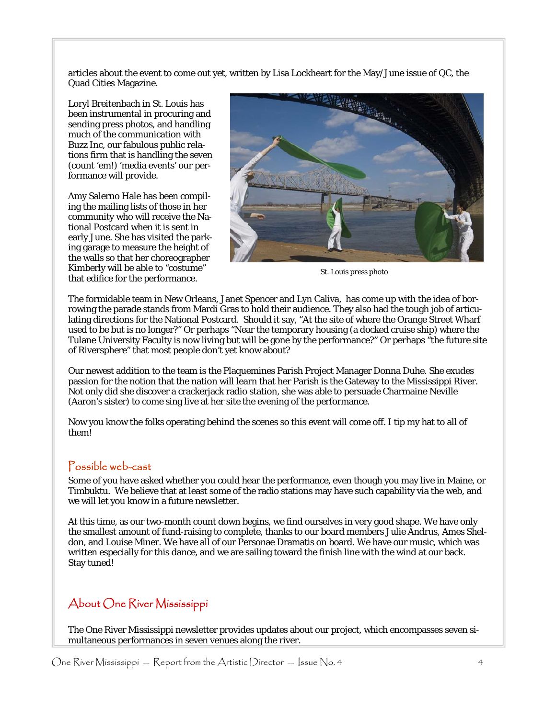articles about the event to come out yet, written by Lisa Lockheart for the May/June issue of QC, the Quad Cities Magazine.

Loryl Breitenbach in St. Louis has been instrumental in procuring and sending press photos, and handling much of the communication with Buzz Inc, our fabulous public relations firm that is handling the seven (count 'em!) 'media events' our performance will provide.

Amy Salerno Hale has been compiling the mailing lists of those in her community who will receive the National Postcard when it is sent in early June. She has visited the parking garage to measure the height of the walls so that her choreographer Kimberly will be able to "costume" that edifice for the performance.



*St. Louis press photo* 

The formidable team in New Orleans, Janet Spencer and Lyn Caliva, has come up with the idea of borrowing the parade stands from Mardi Gras to hold their audience. They also had the tough job of articulating directions for the National Postcard. Should it say, "At the site of where the Orange Street Wharf used to be but is no longer?" Or perhaps "Near the temporary housing (a docked cruise ship) where the Tulane University Faculty is now living but will be gone by the performance?" Or perhaps "the future site of Riversphere" that most people don't yet know about?

Our newest addition to the team is the Plaquemines Parish Project Manager Donna Duhe. She exudes passion for the notion that the nation will learn that her Parish is the Gateway to the Mississippi River. Not only did she discover a crackerjack radio station, she was able to persuade Charmaine Neville (Aaron's sister) to come sing live at her site the evening of the performance.

Now you know the folks operating behind the scenes so this event will come off. I tip my hat to all of them!

#### Possible web-cast

Some of you have asked whether you could hear the performance, even though you may live in Maine, or Timbuktu. We believe that at least some of the radio stations may have such capability via the web, and we will let you know in a future newsletter.

At this time, as our two-month count down begins, we find ourselves in very good shape. We have only the smallest amount of fund-raising to complete, thanks to our board members Julie Andrus, Ames Sheldon, and Louise Miner. We have all of our Personae Dramatis on board. We have our music, which was written especially for this dance, and we are sailing toward the finish line with the wind at our back. Stay tuned!

# About One River Mississippi

The One River Mississippi newsletter provides updates about our project, which encompasses seven simultaneous performances in seven venues along the river.

One River Mississippi — Report from the Artistic Director — Issue No. 4  $\,$